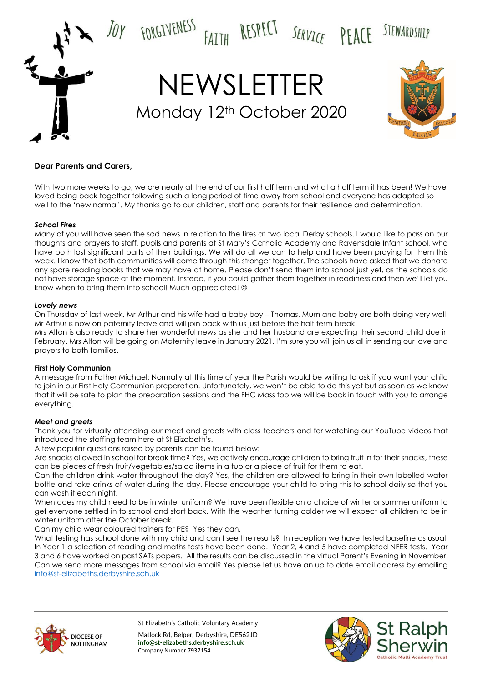

# **Dear Parents and Carers,**

With two more weeks to go, we are nearly at the end of our first half term and what a half term it has been! We have loved being back together following such a long period of time away from school and everyone has adapted so well to the 'new normal'. My thanks go to our children, staff and parents for their resilience and determination.

## *School Fires*

Many of you will have seen the sad news in relation to the fires at two local Derby schools. I would like to pass on our thoughts and prayers to staff, pupils and parents at St Mary's Catholic Academy and Ravensdale Infant school, who have both lost significant parts of their buildings. We will do all we can to help and have been praying for them this week. I know that both communities will come through this stronger together. The schools have asked that we donate any spare reading books that we may have at home. Please don't send them into school just yet, as the schools do not have storage space at the moment. Instead, if you could gather them together in readiness and then we'll let you know when to bring them into school! Much appreciated! ©

## *Lovely news*

On Thursday of last week, Mr Arthur and his wife had a baby boy – Thomas. Mum and baby are both doing very well. Mr Arthur is now on paternity leave and will join back with us just before the half term break.

Mrs Alton is also ready to share her wonderful news as she and her husband are expecting their second child due in February. Mrs Alton will be going on Maternity leave in January 2021. I'm sure you will join us all in sending our love and prayers to both families.

## **First Holy Communion**

A message from Father Michael: Normally at this time of year the Parish would be writing to ask if you want your child to join in our First Holy Communion preparation. Unfortunately, we won't be able to do this yet but as soon as we know that it will be safe to plan the preparation sessions and the FHC Mass too we will be back in touch with you to arrange everything.

## *Meet and greets*

Thank you for virtually attending our meet and greets with class teachers and for watching our YouTube videos that introduced the staffing team here at St Elizabeth's.

A few popular questions raised by parents can be found below:

Are snacks allowed in school for break time? Yes, we actively encourage children to bring fruit in for their snacks, these can be pieces of fresh fruit/vegetables/salad items in a tub or a piece of fruit for them to eat.

Can the children drink water throughout the day? Yes, the children are allowed to bring in their own labelled water bottle and take drinks of water during the day. Please encourage your child to bring this to school daily so that you can wash it each night.

When does my child need to be in winter uniform? We have been flexible on a choice of winter or summer uniform to get everyone settled in to school and start back. With the weather turning colder we will expect all children to be in winter uniform after the October break.

Can my child wear coloured trainers for PE? Yes they can.

What testing has school done with my child and can I see the results? In reception we have tested baseline as usual. In Year 1 a selection of reading and maths tests have been done. Year 2, 4 and 5 have completed NFER tests. Year 3 and 6 have worked on past SATs papers. All the results can be discussed in the virtual Parent's Evening in November. Can we send more messages from school via email? Yes please let us have an up to date email address by emailing [info@st-elizabeths.derbyshire.sch.uk](mailto:info@st-elizabeths.derbyshire.sch.uk)



St Elizabeth's Catholic Voluntary Academy

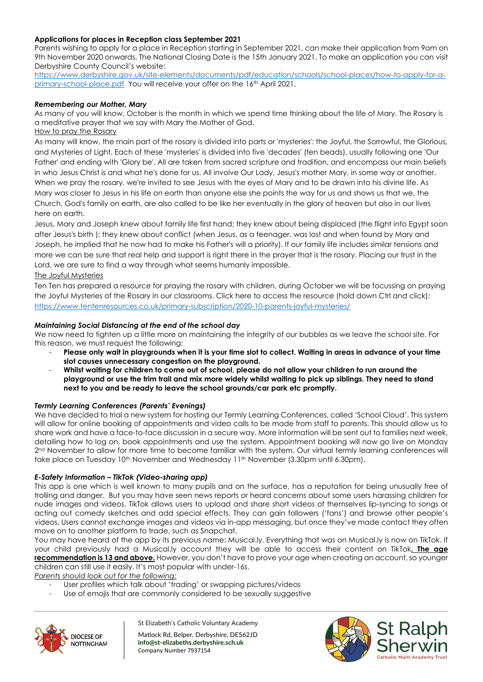# **Applications for places in Reception class September 2021**

Parents wishing to apply for a place in Reception starting in September 2021, can make their application from 9am on 9th November 2020 onwards. The National Closing Date is the 15th January 2021. To make an application you can visit Derbyshire County Council's website:

[https://www.derbyshire.gov.uk/site-elements/documents/pdf/education/schools/school-places/how-to-apply-for-a](https://www.derbyshire.gov.uk/site-elements/documents/pdf/education/schools/school-places/how-to-apply-for-a-primary-school-place.pdf)[primary-school-place.pdf](https://www.derbyshire.gov.uk/site-elements/documents/pdf/education/schools/school-places/how-to-apply-for-a-primary-school-place.pdf) You will receive your offer on the 16<sup>th</sup> April 2021.

# *Remembering our Mother, Mary*

As many of you will know, October is the month in which we spend time thinking about the life of Mary. The Rosary is a meditative prayer that we say with Mary the Mother of God.

# How to pray the Rosary

As many will know, the main part of the rosary is divided into parts or 'mysteries': the Joyful, the Sorrowful, the Glorious, and Mysteries of Light. Each of these 'mysteries' is divided into five 'decades' (ten beads), usually following one 'Our Father' and ending with 'Glory be'. All are taken from sacred scripture and tradition, and encompass our main beliefs in who Jesus Christ is and what he's done for us. All involve Our Lady, Jesus's mother Mary, in some way or another. When we pray the rosary, we're invited to see Jesus with the eyes of Mary and to be drawn into his divine life. As Mary was closer to Jesus in his life on earth than anyone else she points the way for us and shows us that we, the Church, God's family on earth, are also called to be like her eventually in the glory of heaven but also in our lives here on earth.

Jesus, Mary and Joseph knew about family life first hand; they knew about being displaced (the flight into Egypt soon after Jesus's birth ); they knew about conflict (when Jesus, as a teenager, was lost and when found by Mary and Joseph, he implied that he now had to make his Father's will a priority). If our family life includes similar tensions and more we can be sure that real help and support is right there in the prayer that is the rosary. Placing our trust in the Lord, we are sure to find a way through what seems humanly impossible.

The Joyful Mysteries

Ten Ten has prepared a resource for praying the rosary with children, during October we will be focussing on praying the Joyful Mysteries of the Rosary in our classrooms. Click here to access the resource (hold down Ctrl and click): <https://www.tentenresources.co.uk/primary-subscription/2020-10-parents-joyful-mysteries/>

## *Maintaining Social Distancing at the end of the school day*

We now need to tighten up a little more on maintaining the integrity of our bubbles as we leave the school site. For this reason, we must request the following:

- **Please only wait in playgrounds when it is your time slot to collect. Waiting in areas in advance of your time slot causes unnecessary congestion on the playground.**
- **Whilst waiting for children to come out of school, please do not allow your children to run around the playground or use the trim trail and mix more widely whilst waiting to pick up siblings. They need to stand next to you and be ready to leave the school grounds/car park etc promptly.**

# *Termly Learning Conferences (Parents' Evenings)*

We have decided to trial a new system for hosting our Termly Learning Conferences, called 'School Cloud'. This system will allow for online booking of appointments and video calls to be made from staff to parents. This should allow us to share work and have a face-to-face discussion in a secure way. More information will be sent out to families next week, detailing how to log on, book appointments and use the system. Appointment booking will now go live on Monday 2<sup>nd</sup> November to allow for more time to become familiar with the system. Our virtual termly learning conferences will take place on Tuesday 10<sup>th</sup> November and Wednesday 11<sup>th</sup> November (3.30pm until 6.30pm).

## *E-Safety Information – TikTok (Video-sharing app)*

This app is one which is well known to many pupils and on the surface, has a reputation for being unusually free of trolling and danger. But you may have seen news reports or heard concerns about some users harassing children for nude images and videos. TikTok allows users to upload and share short videos of themselves lip-syncing to songs or acting out comedy sketches and add special effects. They can gain followers ('fans') and browse other people's videos. Users cannot exchange images and videos via in-app messaging, but once they've made contact they often move on to another platform to trade, such as Snapchat.

You may have heard of the app by its previous name: Musical.ly. Everything that was on Musical.ly is now on TikTok. If your child previously had a Musical.ly account they will be able to access their content on TikTok**. The age recommendation is 13 and above.** However, you don't have to prove your age when creating an account, so younger children can still use it easily. It's most popular with under-16s.

*Parents should look out for the following:*

- User profiles which talk about 'trading' or swapping pictures/videos
- Use of emojis that are commonly considered to be sexually suggestive



St Elizabeth's Catholic Voluntary Academy

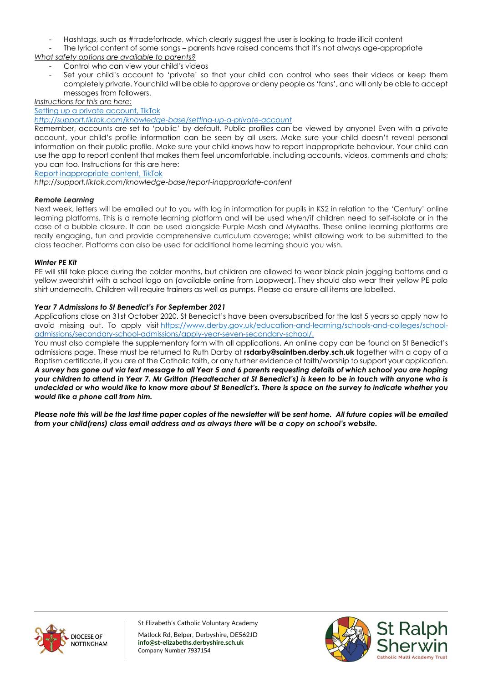- Hashtags, such as #tradefortrade, which clearly suggest the user is looking to trade illicit content

The lyrical content of some songs – parents have raised concerns that it's not always age-appropriate

*What safety options are available to parents?*

- Control who can view your child's videos
- Set your child's account to 'private' so that your child can control who sees their videos or keep them completely private. Your child will be able to approve or deny people as 'fans', and will only be able to accept messages from followers.

*Instructions for this are here:*

[Setting up a private account, TikTok](http://support.tiktok.com/knowledge-base/setting-up-a-private-account)

## *<http://support.tiktok.com/knowledge-base/setting-up-a-private-account>*

Remember, accounts are set to 'public' by default. Public profiles can be viewed by anyone! Even with a private account, your child's profile information can be seen by all users. Make sure your child doesn't reveal personal information on their public profile. Make sure your child knows how to report inappropriate behaviour. Your child can use the app to report content that makes them feel uncomfortable, including accounts, videos, comments and chats; you can too. Instructions for this are here:

[Report inappropriate content, TikTok](http://support.tiktok.com/knowledge-base/report-inappropriate-content)

*http://support.tiktok.com/knowledge-base/report-inappropriate-content*

# *Remote Learning*

Next week, letters will be emailed out to you with log in information for pupils in KS2 in relation to the 'Century' online learning platforms. This is a remote learning platform and will be used when/if children need to self-isolate or in the case of a bubble closure. It can be used alongside Purple Mash and MyMaths. These online learning platforms are really engaging, fun and provide comprehensive curriculum coverage; whilst allowing work to be submitted to the class teacher. Platforms can also be used for additional home learning should you wish.

## *Winter PE Kit*

PE will still take place during the colder months, but children are allowed to wear black plain jogging bottoms and a yellow sweatshirt with a school logo on (available online from Loopwear). They should also wear their yellow PE polo shirt underneath. Children will require trainers as well as pumps. Please do ensure all items are labelled.

## *Year 7 Admissions to St Benedict's For September 2021*

Applications close on 31st October 2020. St Benedict's have been oversubscribed for the last 5 years so apply now to avoid missing out. To apply visit [https://www.derby.gov.uk/education-and-learning/schools-and-colleges/school](https://www.derby.gov.uk/education-and-learning/schools-and-colleges/school-admissions/secondary-school-admissions/apply-year-seven-secondary-school/)[admissions/secondary-school-admissions/apply-year-seven-secondary-school/.](https://www.derby.gov.uk/education-and-learning/schools-and-colleges/school-admissions/secondary-school-admissions/apply-year-seven-secondary-school/)

You must also complete the supplementary form with all applications. An online copy can be found on St Benedict's admissions page. These must be returned to Ruth Darby at **rsdarby@saintben.derby.sch.uk** together with a copy of a Baptism certificate, if you are of the Catholic faith, or any further evidence of faith/worship to support your application. *A survey has gone out via text message to all Year 5 and 6 parents requesting details of which school you are hoping your children to attend in Year 7. Mr Gritton (Headteacher at St Benedict's) is keen to be in touch with anyone who is undecided or who would like to know more about St Benedict's. There is space on the survey to indicate whether you would like a phone call from him.*

*Please note this will be the last time paper copies of the newsletter will be sent home. All future copies will be emailed from your child(rens) class email address and as always there will be a copy on school's website.*



St Elizabeth's Catholic Voluntary Academy